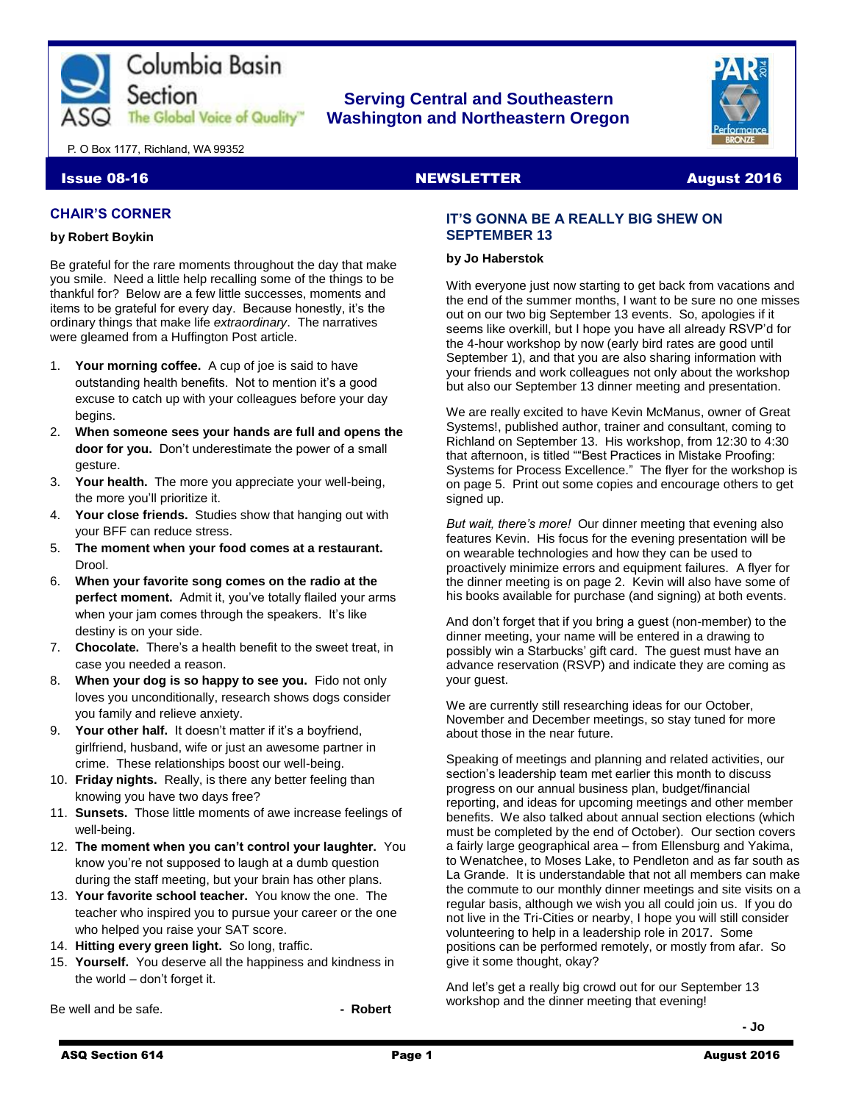

## **Serving Central and Southeastern The Global Voice of Quality | Washington and Northeastern Oregon**



P. O Box 1177, Richland, WA 99352

#### Issue 08-16 NewsLETTER August 2016

## **CHAIR'S CORNER**

#### **by Robert Boykin**

Be grateful for the rare moments throughout the day that make you smile. Need a little help recalling some of the things to be thankful for? Below are a few little successes, moments and items to be grateful for every day. Because honestly, it's the ordinary things that make life *extraordinary*. The narratives were gleamed from a Huffington Post article.

- 1. **Your morning coffee.** A cup of joe is said to have outstanding health benefits. Not to mention it's a good excuse to catch up with your colleagues before your day begins.
- 2. **When someone sees your hands are full and opens the door for you.** Don't underestimate the power of a small gesture.
- 3. **Your health.** The more you appreciate your well-being, the more you'll prioritize it.
- 4. **Your close friends.** Studies show that hanging out with your BFF can reduce stress.
- 5. **The moment when your food comes at a restaurant.** Drool.
- 6. **When your favorite song comes on the radio at the perfect moment.** Admit it, you've totally flailed your arms when your jam comes through the speakers. It's like destiny is on your side.
- 7. **Chocolate.** There's a health benefit to the sweet treat, in case you needed a reason.
- 8. **When your dog is so happy to see you.** Fido not only loves you unconditionally, research shows dogs consider you family and relieve anxiety.
- 9. **Your other half.** It doesn't matter if it's a boyfriend, girlfriend, husband, wife or just an awesome partner in crime. These relationships boost our well-being.
- 10. **Friday nights.** Really, is there any better feeling than knowing you have two days free?
- 11. **Sunsets.** Those little moments of awe increase feelings of well-being.
- 12. **The moment when you can't control your laughter.** You know you're not supposed to laugh at a dumb question during the staff meeting, but your brain has other plans.
- 13. **Your favorite school teacher.** You know the one. The teacher who inspired you to pursue your career or the one who helped you raise your SAT score.
- 14. **Hitting every green light.** So long, traffic.
- 15. **Yourself.** You deserve all the happiness and kindness in the world – don't forget it.

Be well and be safe. **and in the same of the same of the same of the Robert - Robert** 

## **IT'S GONNA BE A REALLY BIG SHEW ON SEPTEMBER 13**

#### **by Jo Haberstok**

With everyone just now starting to get back from vacations and the end of the summer months, I want to be sure no one misses out on our two big September 13 events. So, apologies if it seems like overkill, but I hope you have all already RSVP'd for the 4-hour workshop by now (early bird rates are good until September 1), and that you are also sharing information with your friends and work colleagues not only about the workshop but also our September 13 dinner meeting and presentation.

We are really excited to have Kevin McManus, owner of Great Systems!, published author, trainer and consultant, coming to Richland on September 13. His workshop, from 12:30 to 4:30 that afternoon, is titled ""Best Practices in Mistake Proofing: Systems for Process Excellence." The flyer for the workshop is on page 5. Print out some copies and encourage others to get signed up.

*But wait, there's more!* Our dinner meeting that evening also features Kevin. His focus for the evening presentation will be on wearable technologies and how they can be used to proactively minimize errors and equipment failures. A flyer for the dinner meeting is on page 2. Kevin will also have some of his books available for purchase (and signing) at both events.

And don't forget that if you bring a guest (non-member) to the dinner meeting, your name will be entered in a drawing to possibly win a Starbucks' gift card. The guest must have an advance reservation (RSVP) and indicate they are coming as your guest.

We are currently still researching ideas for our October, November and December meetings, so stay tuned for more about those in the near future.

Speaking of meetings and planning and related activities, our section's leadership team met earlier this month to discuss progress on our annual business plan, budget/financial reporting, and ideas for upcoming meetings and other member benefits. We also talked about annual section elections (which must be completed by the end of October). Our section covers a fairly large geographical area – from Ellensburg and Yakima, to Wenatchee, to Moses Lake, to Pendleton and as far south as La Grande. It is understandable that not all members can make the commute to our monthly dinner meetings and site visits on a regular basis, although we wish you all could join us. If you do not live in the Tri-Cities or nearby, I hope you will still consider volunteering to help in a leadership role in 2017. Some positions can be performed remotely, or mostly from afar. So give it some thought, okay?

And let's get a really big crowd out for our September 13 workshop and the dinner meeting that evening!

**- Jo**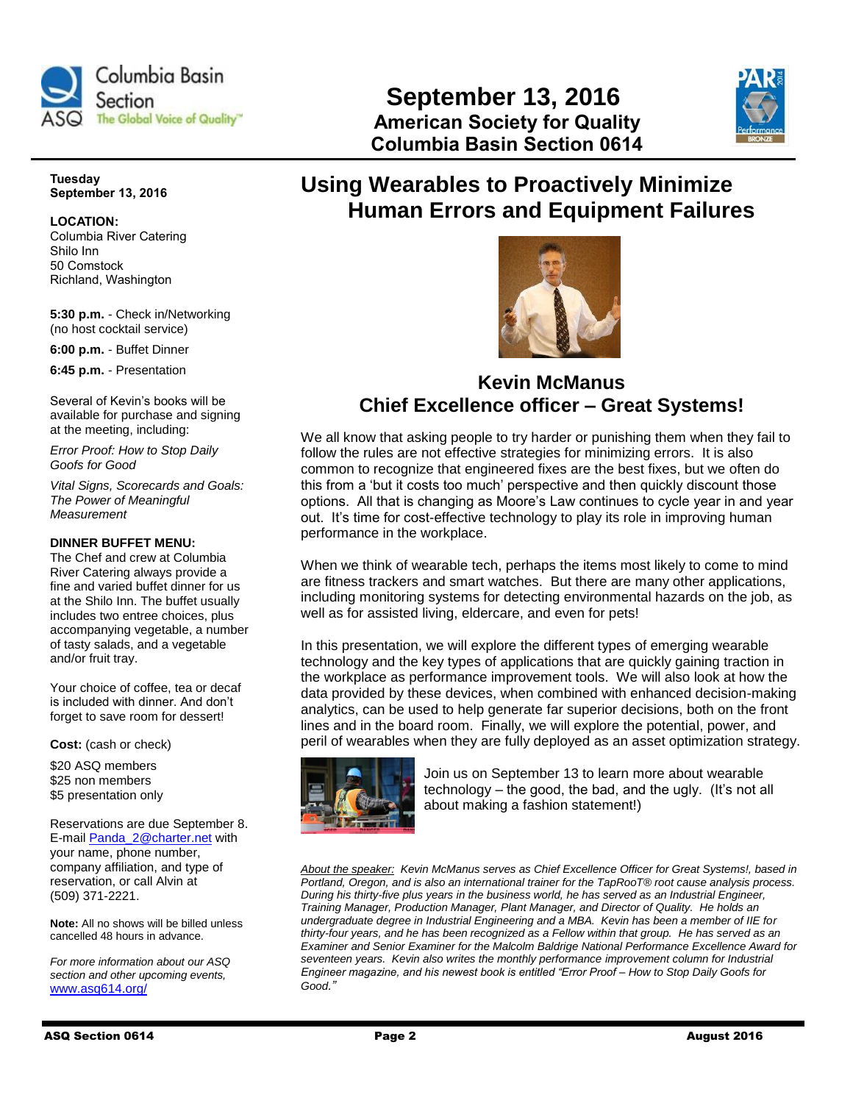

# **September 13, 2016 The Global Voice of Quality" American Society for Quality Columbia Basin Section 0614**



**Tuesday September 13, 2016**

## **LOCATION:**

Columbia River Catering Shilo Inn 50 Comstock Richland, Washington

**5:30 p.m.** - Check in/Networking (no host cocktail service)

**6:00 p.m.** - Buffet Dinner

**6:45 p.m.** - Presentation

Several of Kevin's books will be available for purchase and signing at the meeting, including:

*Error Proof: How to Stop Daily Goofs for Good*

*Vital Signs, Scorecards and Goals: The Power of Meaningful Measurement*

## **DINNER BUFFET MENU:**

The Chef and crew at Columbia River Catering always provide a fine and varied buffet dinner for us at the Shilo Inn. The buffet usually includes two entree choices, plus accompanying vegetable, a number of tasty salads, and a vegetable and/or fruit tray.

Your choice of coffee, tea or decaf is included with dinner. And don't forget to save room for dessert!

**Cost:** (cash or check)

\$20 ASQ members \$25 non members \$5 presentation only

Reservations are due September 8. E-mail [Panda\\_2@charter.net](mailto:Panda_2@charter.net) with your name, phone number, company affiliation, and type of reservation, or call Alvin at (509) 371-2221.

**Note:** All no shows will be billed unless cancelled 48 hours in advance.

*For more information about our ASQ section and other upcoming events,*  [www.asq614.org/](http://www.asq614.org/)

# **Using Wearables to Proactively Minimize Human Errors and Equipment Failures**



# **Kevin McManus Chief Excellence officer – Great Systems!**

We all know that asking people to try harder or punishing them when they fail to follow the rules are not effective strategies for minimizing errors. It is also common to recognize that engineered fixes are the best fixes, but we often do this from a 'but it costs too much' perspective and then quickly discount those options. All that is changing as Moore's Law continues to cycle year in and year out. It's time for cost-effective technology to play its role in improving human performance in the workplace.

When we think of wearable tech, perhaps the items most likely to come to mind are fitness trackers and smart watches. But there are many other applications, including monitoring systems for detecting environmental hazards on the job, as well as for assisted living, eldercare, and even for pets!

In this presentation, we will explore the different types of emerging wearable technology and the key types of applications that are quickly gaining traction in the workplace as performance improvement tools. We will also look at how the data provided by these devices, when combined with enhanced decision-making analytics, can be used to help generate far superior decisions, both on the front lines and in the board room. Finally, we will explore the potential, power, and peril of wearables when they are fully deployed as an asset optimization strategy.



Join us on September 13 to learn more about wearable technology – the good, the bad, and the ugly. (It's not all about making a fashion statement!)

*About the speaker: Kevin McManus serves as Chief Excellence Officer for Great Systems!, based in Portland, Oregon, and is also an international trainer for the TapRooT® root cause analysis process. During his thirty-five plus years in the business world, he has served as an Industrial Engineer, Training Manager, Production Manager, Plant Manager, and Director of Quality. He holds an undergraduate degree in Industrial Engineering and a MBA. Kevin has been a member of IIE for thirty-four years, and he has been recognized as a Fellow within that group. He has served as an Examiner and Senior Examiner for the Malcolm Baldrige National Performance Excellence Award for*  seventeen years. Kevin also writes the monthly performance improvement column for Industrial *Engineer magazine, and his newest book is entitled "Error Proof – How to Stop Daily Goofs for Good."*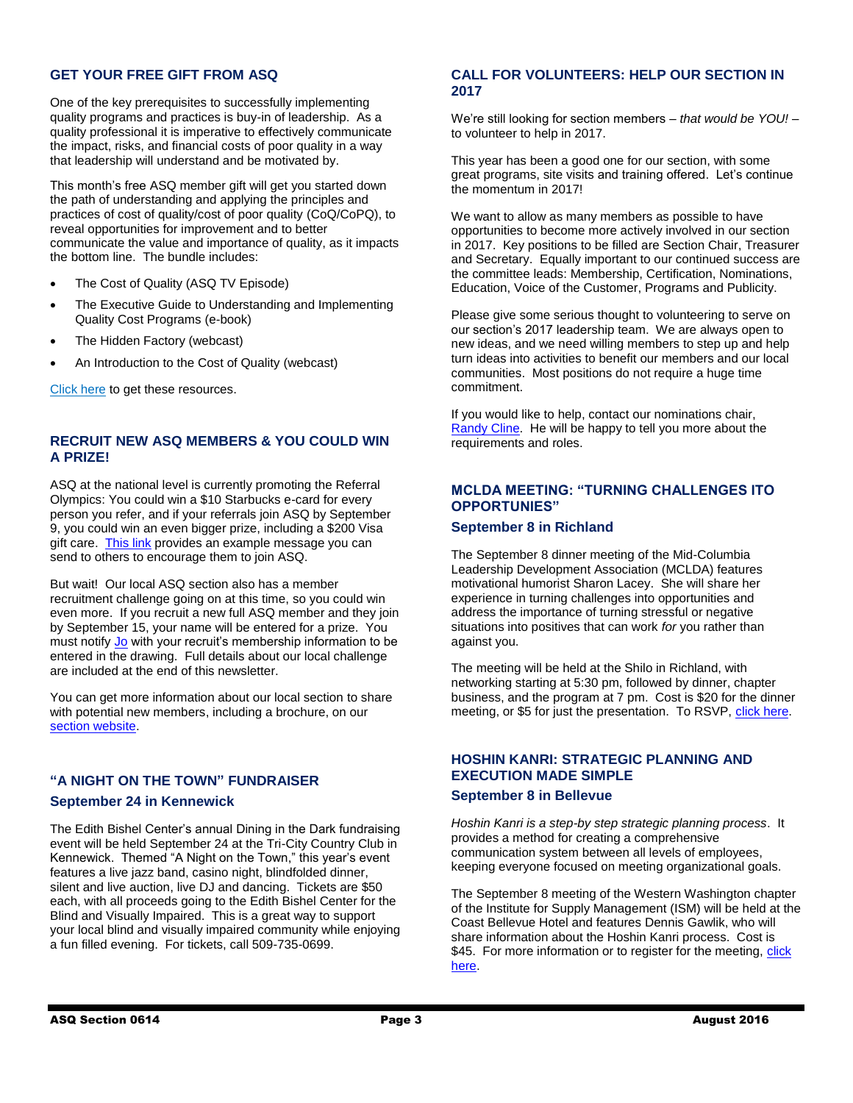## **GET YOUR FREE GIFT FROM ASQ**

One of the key prerequisites to successfully implementing quality programs and practices is buy-in of leadership. As a quality professional it is imperative to effectively communicate the impact, risks, and financial costs of poor quality in a way that leadership will understand and be motivated by.

This month's free ASQ member gift will get you started down the path of understanding and applying the principles and practices of cost of quality/cost of poor quality (CoQ/CoPQ), to reveal opportunities for improvement and to better communicate the value and importance of quality, as it impacts the bottom line. The bundle includes:

- The Cost of Quality (ASQ TV Episode)
- The Executive Guide to Understanding and Implementing Quality Cost Programs (e-book)
- The Hidden Factory (webcast)
- An Introduction to the Cost of Quality (webcast)

[Click here](https://asq.org/SignIn.aspx?prvurl=http://asq.org/membership/members/gift/?utm_content=&utm_source=email&utm_medium=email&utm_campaign=marketing_engagement_080116_membergift) to get these resources.

## **RECRUIT NEW ASQ MEMBERS & YOU COULD WIN A PRIZE!**

ASQ at the national level is currently promoting the Referral Olympics: You could win a \$10 Starbucks e-card for every person you refer, and if your referrals join ASQ by September 9, you could win an even bigger prize, including a \$200 Visa gift care. [This link](http://membership.asq.org/2016olympics?utm_content=) provides an example message you can send to others to encourage them to join ASQ.

But wait! Our local ASQ section also has a member recruitment challenge going on at this time, so you could win even more. If you recruit a new full ASQ member and they join by September 15, your name will be entered for a prize. You must notify [Jo](mailto:jkhbme@gmail.com) with your recruit's membership information to be entered in the drawing. Full details about our local challenge are included at the end of this newsletter.

You can get more information about our local section to share with potential new members, including a brochure, on our [section website.](http://www.asq614.org/)

## **"A NIGHT ON THE TOWN" FUNDRAISER**

#### **September 24 in Kennewick**

The Edith Bishel Center's annual Dining in the Dark fundraising event will be held September 24 at the Tri-City Country Club in Kennewick. Themed "A Night on the Town," this year's event features a live jazz band, casino night, blindfolded dinner, silent and live auction, live DJ and dancing. Tickets are \$50 each, with all proceeds going to the Edith Bishel Center for the Blind and Visually Impaired. This is a great way to support your local blind and visually impaired community while enjoying a fun filled evening. For tickets, call 509-735-0699.

## **CALL FOR VOLUNTEERS: HELP OUR SECTION IN 2017**

We're still looking for section members – *that would be YOU!* – to volunteer to help in 2017.

This year has been a good one for our section, with some great programs, site visits and training offered. Let's continue the momentum in 2017!

We want to allow as many members as possible to have opportunities to become more actively involved in our section in 2017. Key positions to be filled are Section Chair, Treasurer and Secretary. Equally important to our continued success are the committee leads: Membership, Certification, Nominations, Education, Voice of the Customer, Programs and Publicity.

Please give some serious thought to volunteering to serve on our section's 2017 leadership team. We are always open to new ideas, and we need willing members to step up and help turn ideas into activities to benefit our members and our local communities. Most positions do not require a huge time commitment.

If you would like to help, contact our nominations chair, [Randy](mailto:randallcline@yvmh.org) Cline. He will be happy to tell you more about the requirements and roles.

## **MCLDA MEETING: "TURNING CHALLENGES ITO OPPORTUNIES"**

## **September 8 in Richland**

The September 8 dinner meeting of the Mid-Columbia Leadership Development Association (MCLDA) features motivational humorist Sharon Lacey. She will share her experience in turning challenges into opportunities and address the importance of turning stressful or negative situations into positives that can work *for* you rather than against you.

The meeting will be held at the Shilo in Richland, with networking starting at 5:30 pm, followed by dinner, chapter business, and the program at 7 pm. Cost is \$20 for the dinner meeting, or \$5 for just the presentation. To RSVP, [click here.](https://www.surveymonkey.com/r/VY2ZH3J)

## **HOSHIN KANRI: STRATEGIC PLANNING AND EXECUTION MADE SIMPLE**

## **September 8 in Bellevue**

*Hoshin Kanri is a step-by step strategic planning process*. It provides a method for creating a comprehensive communication system between all levels of employees, keeping everyone focused on meeting organizational goals.

The September 8 meeting of the Western Washington chapter of the Institute for Supply Management (ISM) will be held at the Coast Bellevue Hotel and features Dennis Gawlik, who will share information about the Hoshin Kanri process. Cost is \$45. For more information or to register for the meeting, click [here.](https://www.ismww.org/insidepages/meetings/details.cfm?meetingid=D994E9E8-5056-8960-3EF0-0481931E0BC1)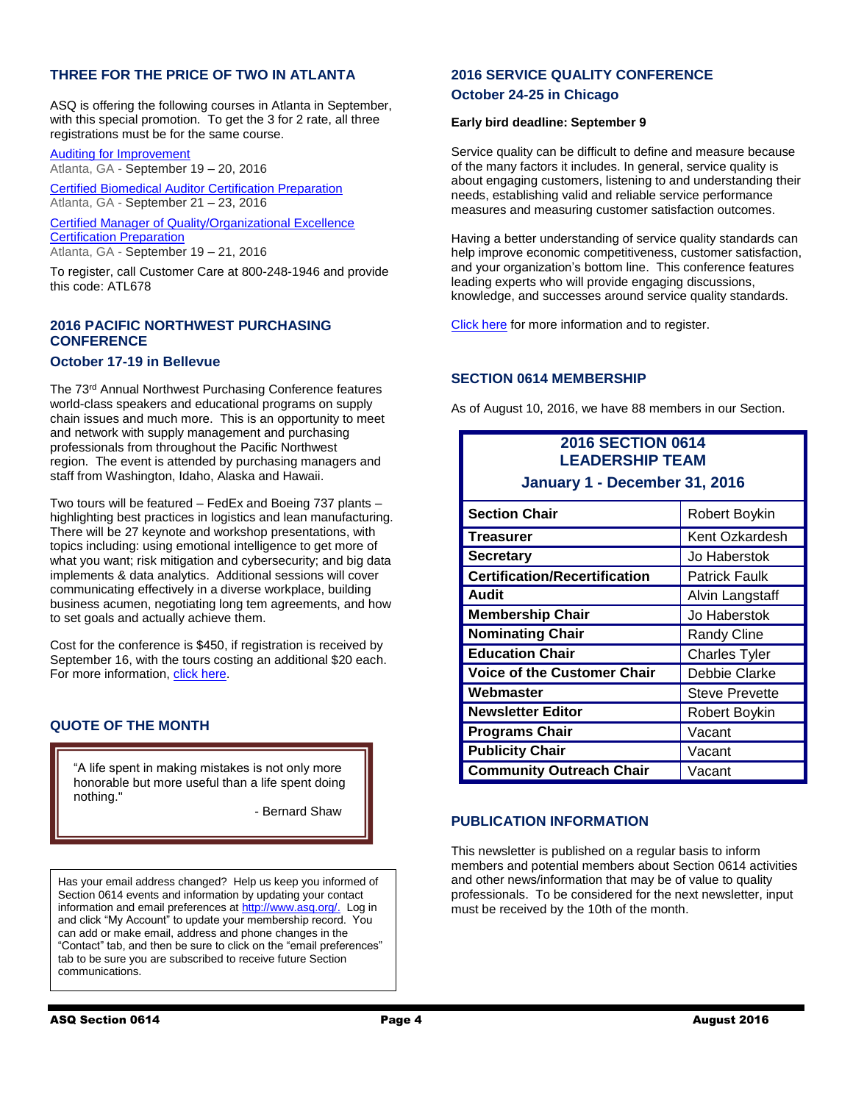## **THREE FOR THE PRICE OF TWO IN ATLANTA**

ASQ is offering the following courses in Atlanta in September, with this special promotion. To get the 3 for 2 rate, all three registrations must be for the same course.

[Auditing for Improvement](http://links.communications.asq.org/ctt?kn=6&ms=MTUxOTU3NjES1&r=MzAwNzE5NjcxMDE4S0&b=0&j=ODQxMTIzNTM5S0&mt=1&rt=0) Atlanta, GA - September 19 – 20, 2016

[Certified Biomedical Auditor Certification Preparation](http://links.communications.asq.org/ctt?kn=20&ms=MTUxOTU3NjES1&r=MzAwNzE5NjcxMDE4S0&b=0&j=ODQxMTIzNTM5S0&mt=1&rt=0) Atlanta, GA - September 21 – 23, 2016

[Certified Manager of Quality/Organizational Excellence](http://links.communications.asq.org/ctt?kn=7&ms=MTUxOTU3NjES1&r=MzAwNzE5NjcxMDE4S0&b=0&j=ODQxMTIzNTM5S0&mt=1&rt=0)  **[Certification Preparation](http://links.communications.asq.org/ctt?kn=7&ms=MTUxOTU3NjES1&r=MzAwNzE5NjcxMDE4S0&b=0&j=ODQxMTIzNTM5S0&mt=1&rt=0)** Atlanta, GA - September 19 – 21, 2016

To register, call Customer Care at 800-248-1946 and provide this code: ATL678

## **2016 PACIFIC NORTHWEST PURCHASING CONFERENCE**

## **October 17-19 in Bellevue**

The 73rd Annual Northwest Purchasing Conference features world-class speakers and educational programs on supply chain issues and much more. This is an opportunity to meet and network with supply management and purchasing professionals from throughout the Pacific Northwest region. The event is attended by purchasing managers and staff from Washington, Idaho, Alaska and Hawaii.

Two tours will be featured – FedEx and Boeing 737 plants – highlighting best practices in logistics and lean manufacturing. There will be 27 keynote and workshop presentations, with topics including: using emotional intelligence to get more of what you want; risk mitigation and cybersecurity; and big data implements & data analytics. Additional sessions will cover communicating effectively in a diverse workplace, building business acumen, negotiating long tem agreements, and how to set goals and actually achieve them.

Cost for the conference is \$450, if registration is received by September 16, with the tours costing an additional \$20 each. For more information[, click here.](https://www.ismww.org/insidepages/events/attendees.cfm?eventid=7CFD6F53-5056-8960-3E3A-31BBC79FED7D)

## **QUOTE OF THE MONTH**

"A life spent in making mistakes is not only more honorable but more useful than a life spent doing nothing."

- Bernard Shaw

Has your email address changed? Help us keep you informed of Section 0614 events and information by updating your contact information and email preferences a[t http://www.asq.org/.](http://www.asq.org/) Log in and click "My Account" to update your membership record. You can add or make email, address and phone changes in the "Contact" tab, and then be sure to click on the "email preferences" tab to be sure you are subscribed to receive future Section communications.

## **2016 SERVICE QUALITY CONFERENCE**

#### **October 24-25 in Chicago**

#### **Early bird deadline: September 9**

Service quality can be difficult to define and measure because of the many factors it includes. In general, service quality is about engaging customers, listening to and understanding their needs, establishing valid and reliable service performance measures and measuring customer satisfaction outcomes.

Having a better understanding of service quality standards can help improve economic competitiveness, customer satisfaction, and your organization's bottom line. This conference features leading experts who will provide engaging discussions, knowledge, and successes around service quality standards.

[Click here](http://asq.org/conferences/service-quality/2016/why-attend.html) for more information and to register.

## **SECTION 0614 MEMBERSHIP**

As of August 10, 2016, we have 88 members in our Section.

## **2016 SECTION 0614 LEADERSHIP TEAM**

**January 1 - December 31, 2016**

| <b>Section Chair</b>                 | Robert Boykin         |
|--------------------------------------|-----------------------|
| <b>Treasurer</b>                     | Kent Ozkardesh        |
| <b>Secretary</b>                     | Jo Haberstok          |
| <b>Certification/Recertification</b> | Patrick Faulk         |
| Audit                                | Alvin Langstaff       |
| <b>Membership Chair</b>              | Jo Haberstok          |
| <b>Nominating Chair</b>              | <b>Randy Cline</b>    |
| <b>Education Chair</b>               | <b>Charles Tyler</b>  |
| <b>Voice of the Customer Chair</b>   | Debbie Clarke         |
| Webmaster                            | <b>Steve Prevette</b> |
| <b>Newsletter Editor</b>             | Robert Boykin         |
| <b>Programs Chair</b>                | Vacant                |
| <b>Publicity Chair</b>               | Vacant                |
| <b>Community Outreach Chair</b>      | Vacant                |

## **PUBLICATION INFORMATION**

This newsletter is published on a regular basis to inform members and potential members about Section 0614 activities and other news/information that may be of value to quality professionals. To be considered for the next newsletter, input must be received by the 10th of the month.

Ī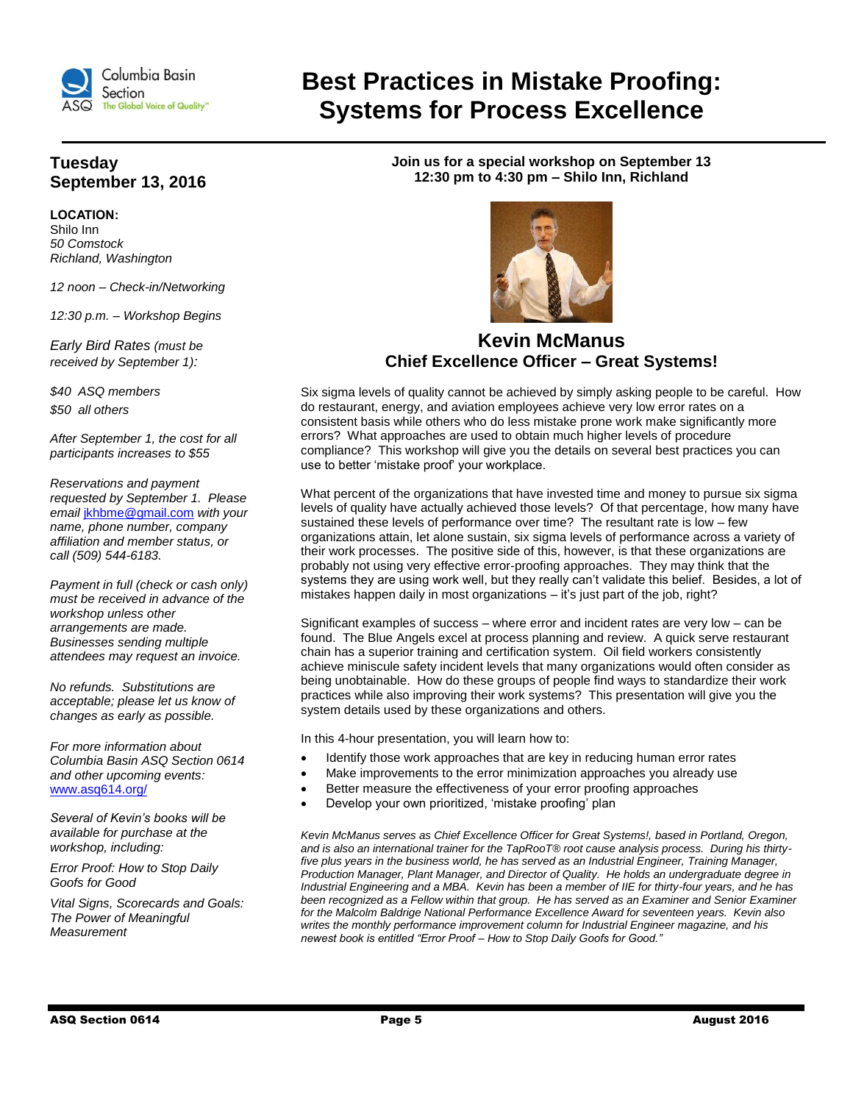

## **Tuesday September 13, 2016**

**LOCATION:**  Shilo Inn *50 Comstock Richland, Washington*

*12 noon – Check-in/Networking*

*12:30 p.m. – Workshop Begins*

*Early Bird Rates (must be received by September 1):*

*\$40 ASQ members \$50 all others*

*After September 1, the cost for all participants increases to \$55* 

*Reservations and payment requested by September 1. Please email* [jkhbme@gmail.com](mailto:jkhbme@gmail.com) *with your name, phone number, company affiliation and member status, or call (509) 544-6183.*

*Payment in full (check or cash only) must be received in advance of the workshop unless other arrangements are made. Businesses sending multiple attendees may request an invoice.*

*No refunds. Substitutions are acceptable; please let us know of changes as early as possible.*

*For more information about Columbia Basin ASQ Section 0614 and other upcoming events:*  [www.asq614.org/](http://www.asq614.org/)

*Several of Kevin's books will be available for purchase at the workshop, including:*

*Error Proof: How to Stop Daily Goofs for Good*

*Vital Signs, Scorecards and Goals: The Power of Meaningful Measurement* 

**Best Practices in Mistake Proofing: Systems for Process Excellence**

> **Join us for a special workshop on September 13 12:30 pm to 4:30 pm – Shilo Inn, Richland**



## **Kevin McManus Chief Excellence Officer – Great Systems!**

Six sigma levels of quality cannot be achieved by simply asking people to be careful. How do restaurant, energy, and aviation employees achieve very low error rates on a consistent basis while others who do less mistake prone work make significantly more errors? What approaches are used to obtain much higher levels of procedure compliance? This workshop will give you the details on several best practices you can use to better 'mistake proof' your workplace.

What percent of the organizations that have invested time and money to pursue six sigma levels of quality have actually achieved those levels? Of that percentage, how many have sustained these levels of performance over time? The resultant rate is low – few organizations attain, let alone sustain, six sigma levels of performance across a variety of their work processes. The positive side of this, however, is that these organizations are probably not using very effective error-proofing approaches. They may think that the systems they are using work well, but they really can't validate this belief. Besides, a lot of mistakes happen daily in most organizations – it's just part of the job, right?

Significant examples of success – where error and incident rates are very low – can be found. The Blue Angels excel at process planning and review. A quick serve restaurant chain has a superior training and certification system. Oil field workers consistently achieve miniscule safety incident levels that many organizations would often consider as being unobtainable. How do these groups of people find ways to standardize their work practices while also improving their work systems? This presentation will give you the system details used by these organizations and others.

In this 4-hour presentation, you will learn how to:

- Identify those work approaches that are key in reducing human error rates
- Make improvements to the error minimization approaches you already use
- Better measure the effectiveness of your error proofing approaches
- Develop your own prioritized, 'mistake proofing' plan

*Kevin McManus serves as Chief Excellence Officer for Great Systems!, based in Portland, Oregon, and is also an international trainer for the TapRooT® root cause analysis process. During his thirtyfive plus years in the business world, he has served as an Industrial Engineer, Training Manager, Production Manager, Plant Manager, and Director of Quality. He holds an undergraduate degree in Industrial Engineering and a MBA. Kevin has been a member of IIE for thirty-four years, and he has*  been recognized as a Fellow within that group. He has served as an Examiner and Senior Examiner *for the Malcolm Baldrige National Performance Excellence Award for seventeen years. Kevin also writes the monthly performance improvement column for Industrial Engineer magazine, and his newest book is entitled "Error Proof – How to Stop Daily Goofs for Good."*